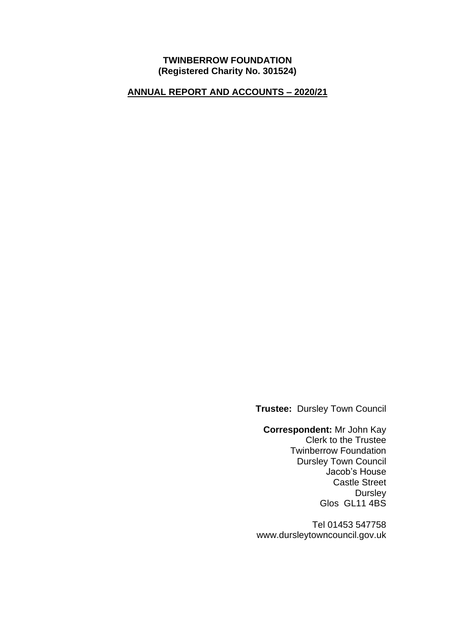#### **TWINBERROW FOUNDATION (Registered Charity No. 301524)**

### **ANNUAL REPORT AND ACCOUNTS – 2020/21**

**Trustee:** Dursley Town Council

**Correspondent:** Mr John Kay Clerk to the Trustee Twinberrow Foundation Dursley Town Council Jacob's House Castle Street **Dursley** Glos GL11 4BS

Tel 01453 547758 www.dursleytowncouncil.gov.uk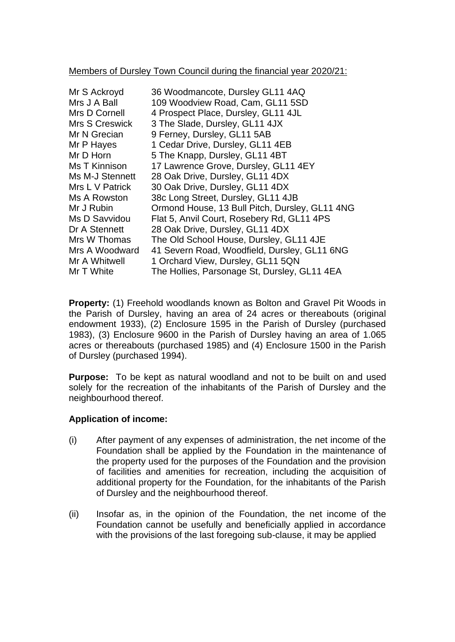#### Members of Dursley Town Council during the financial year 2020/21:

| Mr S Ackroyd<br>Mrs J A Ball | 36 Woodmancote, Dursley GL11 4AQ<br>109 Woodview Road, Cam, GL11 5SD |
|------------------------------|----------------------------------------------------------------------|
| Mrs D Cornell                | 4 Prospect Place, Dursley, GL11 4JL                                  |
| <b>Mrs S Creswick</b>        | 3 The Slade, Dursley, GL11 4JX                                       |
| Mr N Grecian                 | 9 Ferney, Dursley, GL11 5AB                                          |
| Mr P Hayes                   | 1 Cedar Drive, Dursley, GL11 4EB                                     |
| Mr D Horn                    | 5 The Knapp, Dursley, GL11 4BT                                       |
| Ms T Kinnison                | 17 Lawrence Grove, Dursley, GL11 4EY                                 |
| Ms M-J Stennett              | 28 Oak Drive, Dursley, GL11 4DX                                      |
| Mrs L V Patrick              | 30 Oak Drive, Dursley, GL11 4DX                                      |
| Ms A Rowston                 | 38c Long Street, Dursley, GL11 4JB                                   |
| Mr J Rubin                   | Ormond House, 13 Bull Pitch, Dursley, GL11 4NG                       |
| Ms D Savvidou                | Flat 5, Anvil Court, Rosebery Rd, GL11 4PS                           |
| Dr A Stennett                | 28 Oak Drive, Dursley, GL11 4DX                                      |
| Mrs W Thomas                 | The Old School House, Dursley, GL11 4JE                              |
| Mrs A Woodward               | 41 Severn Road, Woodfield, Dursley, GL11 6NG                         |
| Mr A Whitwell                | 1 Orchard View, Dursley, GL11 5QN                                    |
| Mr T White                   | The Hollies, Parsonage St, Dursley, GL11 4EA                         |

**Property:** (1) Freehold woodlands known as Bolton and Gravel Pit Woods in the Parish of Dursley, having an area of 24 acres or thereabouts (original endowment 1933), (2) Enclosure 1595 in the Parish of Dursley (purchased 1983), (3) Enclosure 9600 in the Parish of Dursley having an area of 1.065 acres or thereabouts (purchased 1985) and (4) Enclosure 1500 in the Parish of Dursley (purchased 1994).

**Purpose:** To be kept as natural woodland and not to be built on and used solely for the recreation of the inhabitants of the Parish of Dursley and the neighbourhood thereof.

## **Application of income:**

- (i) After payment of any expenses of administration, the net income of the Foundation shall be applied by the Foundation in the maintenance of the property used for the purposes of the Foundation and the provision of facilities and amenities for recreation, including the acquisition of additional property for the Foundation, for the inhabitants of the Parish of Dursley and the neighbourhood thereof.
- (ii) Insofar as, in the opinion of the Foundation, the net income of the Foundation cannot be usefully and beneficially applied in accordance with the provisions of the last foregoing sub-clause, it may be applied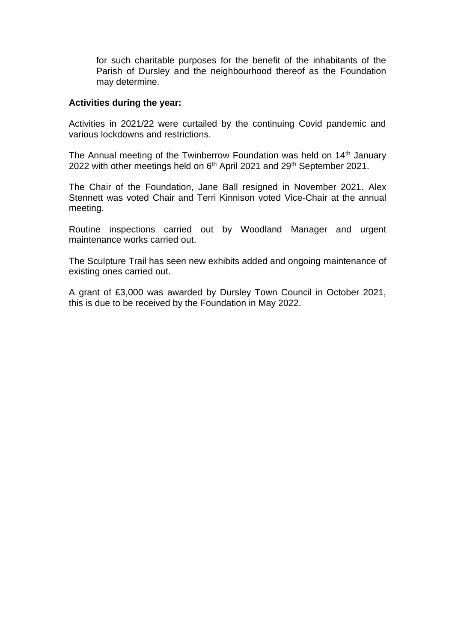for such charitable purposes for the benefit of the inhabitants of the Parish of Dursley and the neighbourhood thereof as the Foundation may determine.

#### **Activities during the year:**

Activities in 2021/22 were curtailed by the continuing Covid pandemic and various lockdowns and restrictions.

The Annual meeting of the Twinberrow Foundation was held on 14<sup>th</sup> January 2022 with other meetings held on 6<sup>th</sup> April 2021 and 29<sup>th</sup> September 2021.

The Chair of the Foundation, Jane Ball resigned in November 2021. Alex Stennett was voted Chair and Terri Kinnison voted Vice-Chair at the annual meeting.

Routine inspections carried out by Woodland Manager and urgent maintenance works carried out.

The Sculpture Trail has seen new exhibits added and ongoing maintenance of existing ones carried out.

A grant of £3,000 was awarded by Dursley Town Council in October 2021, this is due to be received by the Foundation in May 2022.